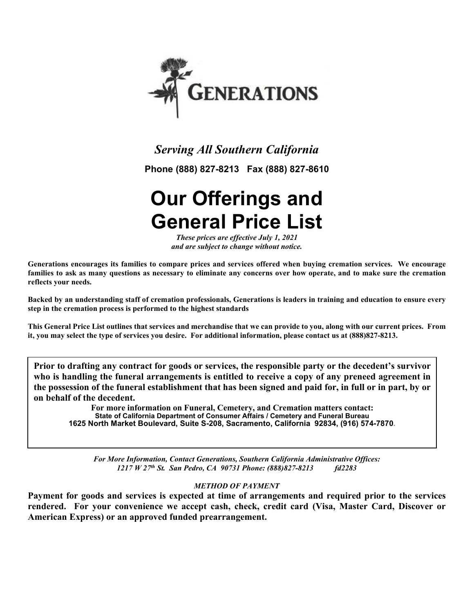

### *Serving All Southern California*

**Phone (888) 827-8213 Fax (888) 827-8610**

## **Our Offerings and General Price List**

*These prices are effective July 1, 2021 and are subject to change without notice.*

**Generations encourages its families to compare prices and services offered when buying cremation services. We encourage families to ask as many questions as necessary to eliminate any concerns over how operate, and to make sure the cremation reflects your needs.**

**Backed by an understanding staff of cremation professionals, Generations is leaders in training and education to ensure every step in the cremation process is performed to the highest standards**

**This General Price List outlines that services and merchandise that we can provide to you, along with our current prices. From it, you may select the type of services you desire. For additional information, please contact us at (888)827-8213.**

**Prior to drafting any contract for goods or services, the responsible party or the decedent's survivor who is handling the funeral arrangements is entitled to receive a copy of any preneed agreement in the possession of the funeral establishment that has been signed and paid for, in full or in part, by or on behalf of the decedent.**

**For more information on Funeral, Cemetery, and Cremation matters contact: State of California Department of Consumer Affairs / Cemetery and Funeral Bureau 1625 North Market Boulevard, Suite S-208, Sacramento, California 92834, (916) 574-7870.**

*For More Information, Contact Generations, Southern California Administrative Offices: 1217 W 27th St. San Pedro, CA 90731 Phone: (888)827-8213 fd2283*

#### *METHOD OF PAYMENT*

**Payment for goods and services is expected at time of arrangements and required prior to the services rendered. For your convenience we accept cash, check, credit card (Visa, Master Card, Discover or American Express) or an approved funded prearrangement.**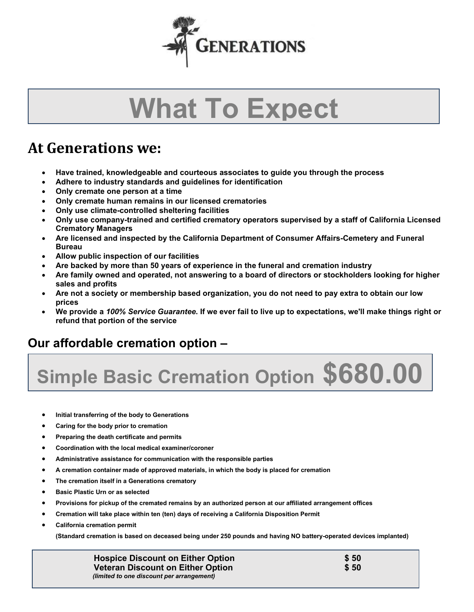

# **What To Expect**

### **At Generations we:**

- **Have trained, knowledgeable and courteous associates to guide you through the process**
- **Adhere to industry standards and guidelines for identification**
- **Only cremate one person at a time**
- **Only cremate human remains in our licensed crematories**
- **Only use climate-controlled sheltering facilities**
- **Only use company-trained and certified crematory operators supervised by a staff of California Licensed Crematory Managers**
- **Are licensed and inspected by the California Department of Consumer Affairs-Cemetery and Funeral Bureau**
- **Allow public inspection of our facilities**
- **Are backed by more than 50 years of experience in the funeral and cremation industry**
- **Are family owned and operated, not answering to a board of directors or stockholders looking for higher sales and profits**
- **Are not a society or membership based organization, you do not need to pay extra to obtain our low prices**
- **We provide a** *100% Service Guarantee***. If we ever fail to live up to expectations, we'll make things right or refund that portion of the service**

### **Our affordable cremation option –**

## **Simple Basic Cremation Option \$680.00**

- **Initial transferring of the body to Generations**
- **Caring for the body prior to cremation**
- **Preparing the death certificate and permits**
- **Coordination with the local medical examiner/coroner**
- **Administrative assistance for communication with the responsible parties**
- **A cremation container made of approved materials, in which the body is placed for cremation**
- **The cremation itself in a Generations crematory**
- **Basic Plastic Urn or as selected**
- **Provisions for pickup of the cremated remains by an authorized person at our affiliated arrangement offices**
- **Cremation will take place within ten (ten) days of receiving a California Disposition Permit**
- **California cremation permit**

**(Standard cremation is based on deceased being under 250 pounds and having NO battery-operated devices implanted)**

| <b>Hospice Discount on Either Option</b>                                              | \$50 |
|---------------------------------------------------------------------------------------|------|
| <b>Veteran Discount on Either Option</b><br>(limited to one discount per arrangement) | \$50 |
|                                                                                       |      |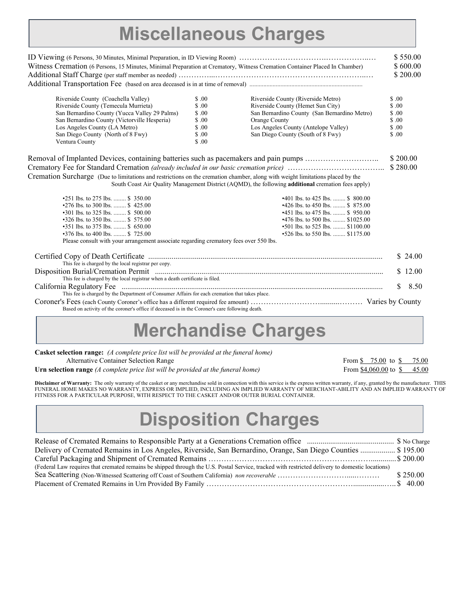### **Miscellaneous Charges**

| Witness Cremation (6 Persons, 15 Minutes, Minimal Preparation at Crematory, Witness Cremation Container Placed In Chamber)                                                                                                                                                                                                                                                                                                                                                                                                                                                       |                                                             |                                                                                                                                                                                                                       |                                                     | \$550.00<br>\$600.00<br>\$200.00 |
|----------------------------------------------------------------------------------------------------------------------------------------------------------------------------------------------------------------------------------------------------------------------------------------------------------------------------------------------------------------------------------------------------------------------------------------------------------------------------------------------------------------------------------------------------------------------------------|-------------------------------------------------------------|-----------------------------------------------------------------------------------------------------------------------------------------------------------------------------------------------------------------------|-----------------------------------------------------|----------------------------------|
| Riverside County (Coachella Valley)<br>Riverside County (Temecula Murrieta)<br>San Bernardino County (Yucca Valley 29 Palms)<br>San Bernardino County (Victorville Hesperia)<br>Los Angeles County (LA Metro)<br>San Diego County (North of 8 Fwy)<br>Ventura County                                                                                                                                                                                                                                                                                                             | \$.00<br>\$.00<br>\$.00<br>\$.00<br>\$.00<br>\$.00<br>\$.00 | Riverside County (Riverside Metro)<br>Riverside County (Hemet Sun City)<br>San Bernardino County (San Bernardino Metro)<br>Orange County<br>Los Angeles County (Antelope Valley)<br>San Diego County (South of 8 Fwy) | \$.00<br>\$.00<br>\$.00<br>\$.00<br>\$.00<br>\$ .00 |                                  |
| Removal of Implanted Devices, containing batteries such as pacemakers and pain pumps<br>Cremation Surcharge (Due to limitations and restrictions on the cremation chamber, along with weight limitations placed by the<br>South Coast Air Quality Management District (AQMD), the following <b>additional</b> cremation fees apply)<br>$\cdot$ 251 lbs. to 275 lbs.  \$ 350.00<br>$\cdot$ 401 lbs. to 425 lbs.  \$ 800.00<br>$\cdot$ 276 lbs. to 300 lbs.  \$425.00<br>$-426$ lbs. to 450 lbs.  \$ 875.00<br>•301 lbs. to 325 lbs.  \$ 500.00<br>•451 lbs. to 475 lbs.  \$950.00 |                                                             |                                                                                                                                                                                                                       |                                                     | \$200.00<br>\$280.00             |
| •326 lbs. to 350 lbs.  \$ 575.00<br>•351 lbs. to 375 lbs.  \$ 650.00<br>$\cdot$ 376 lbs. to 400 lbs.  \$725.00<br>Please consult with your arrangement associate regarding crematory fees over 550 lbs.                                                                                                                                                                                                                                                                                                                                                                          |                                                             | •476 lbs. to 500 lbs.  \$1025.00<br>•501 lbs. to 525 lbs.  \$1100.00<br>•526 lbs. to 550 lbs.  \$1175.00                                                                                                              |                                                     | \$24.00                          |
| This fee is charged by the local registrar per copy.<br>This fee is charged by the local registrar when a death certificate is filed.                                                                                                                                                                                                                                                                                                                                                                                                                                            |                                                             |                                                                                                                                                                                                                       | $\mathbb{S}^-$                                      | \$12.00<br>8.50                  |
| This fee is charged by the Department of Consumer Affairs for each cremation that takes place.<br>Based on activity of the coroner's office if deceased is in the Coroner's care following death.                                                                                                                                                                                                                                                                                                                                                                                |                                                             |                                                                                                                                                                                                                       |                                                     |                                  |

### **Merchandise Charges**

**Casket selection range:** *(A complete price list will be provided at the funeral home)* Alternative Container Selection Range From \$ 75.00 to \$ 75.00

**Urn selection range** (A complete price list will be provided at the funeral home) From \$4,060.00 to \$ 45.00

**Disclaimer of Warranty:** The only warranty of the casket or any merchandise sold in connection with this service is the express written warranty, if any, granted by the manufacturer. THIS FUNERAL HOME MAKES NO WARRANTY, EXPRESS OR IMPLIED, INCLUDING AN IMPLIED WARRANTY OF MERCHANT-ABILITY AND AN IMPLIED WARRANTY OF FITNESS FOR A PARTICULAR PURPOSE, WITH RESPECT TO THE CASKET AND/OR OUTER BURIAL CONTAINER.

## **Disposition Charges**

| Delivery of Cremated Remains in Los Angeles, Riverside, San Bernardino, Orange, San Diego Counties \$ 195.00                                    |  |
|-------------------------------------------------------------------------------------------------------------------------------------------------|--|
|                                                                                                                                                 |  |
| (Federal Law requires that cremated remains be shipped through the U.S. Postal Service, tracked with restricted delivery to domestic locations) |  |
|                                                                                                                                                 |  |
|                                                                                                                                                 |  |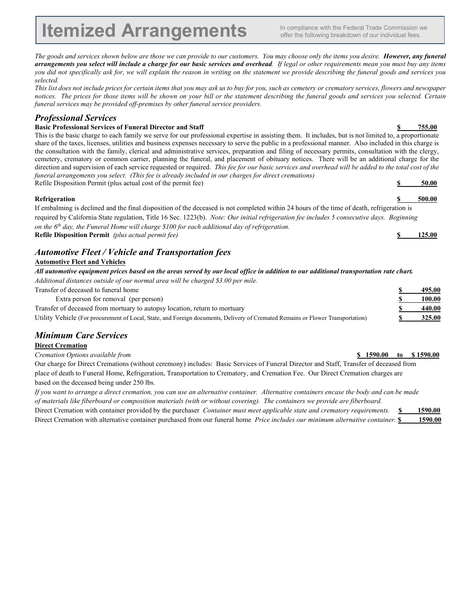## Itemized Arrangements<br> **Itemixed Arrangements In compliance with the Federal Trade Commission we**

offer the following breakdown of our individual fees.

*The goods and services shown below are those we can provide to our customers. You may choose only the items you desire. However, any funeral arrangements you select will include a charge for our basic services and overhead. If legal or other requirements mean you must buy any items you did not specifically ask for, we will explain the reason in writing on the statement we provide describing the funeral goods and services you selected.*

*This list does not include prices for certain items that you may ask us to buy for you, such as cemetery or crematory services, flowers and newspaper notices. The prices for those items will be shown on your bill or the statement describing the funeral goods and services you selected. Certain funeral services may be provided off-premises by other funeral service providers.*

### *Professional Services*

#### **Basic Professional Services of Funeral Director and Staff**  $\frac{1}{2}$  **8 755.00**

This is the basic charge to each family we serve for our professional expertise in assisting them. It includes, but is not limited to, a proportionate share of the taxes, licenses, utilities and business expenses necessary to serve the public in a professional manner. Also included in this charge is the consultation with the family, clerical and administrative services, preparation and filing of necessary permits, consultation with the clergy, cemetery, crematory or common carrier, planning the funeral, and placement of obituary notices. There will be an additional charge for the direction and supervision of each service requested or required. *This fee for our basic services and overhead will be added to the total cost of the funeral arrangements you select. (This fee is already included in our charges for direct cremations)* Refile Disposition Permit (plus actual cost of the permit fee) **\$ 50.00 \$ 50.00** 

| Refrigeration                                                                                                                              | 500.00 |
|--------------------------------------------------------------------------------------------------------------------------------------------|--------|
| If embalming is declined and the final disposition of the deceased is not completed within 24 hours of the time of death, refrigeration is |        |
| required by California State regulation, Title 16 Sec. 1223(b). Note: Our initial refrigeration fee includes 5 consecutive days. Beginning |        |
| on the $6th$ day, the Funeral Home will charge \$100 for each additional day of refrigeration.                                             |        |
| <b>Refile Disposition Permit</b> (plus actual permit fee)                                                                                  | 125.00 |

### *Automotive Fleet / Vehicle and Transportation fees*

#### **Automotive Fleet and Vehicles**

*All automotive equipment prices based on the areas served by our local office in addition to our additional transportation rate chart. Additional distances outside of our normal area will be charged \$3.00 per mile.* Transfer of deceased to funeral home **6 6 and 195.00 \$ 495.00 \$ 495.00** Extra person for removal (per person) **\$ 100.00** Transfer of deceased from mortuary to autopsy location, return to mortuary **\$ 440.00** Utility Vehicle (For procurement of Local, State, and Foreign documents, Delivery of Cremated Remains or Flower Transportation) **\$ 325.00**

#### *Minimum Care Services* **Direct Cremation**

*Cremation Options available from* **\$ 1590.00 to \$ 1590.00**

Our charge for Direct Cremations (without ceremony) includes: Basic Services of Funeral Director and Staff, Transfer of deceased from place of death to Funeral Home, Refrigeration, Transportation to Crematory, and Cremation Fee. Our Direct Cremation charges are based on the deceased being under 250 lbs.

*If you want to arrange a direct cremation, you can use an alternative container. Alternative containers encase the body and can be made of materials like fiberboard or composition materials (with or without covering). The containers we provide are fiberboard.*

Direct Cremation with container provided by the purchaser *Container must meet applicable state and crematory requirements.* **\$ 1590.00** Direct Cremation with alternative container purchased from our funeral home *Price includes our minimum alternative container.* **\$ 1590.00**